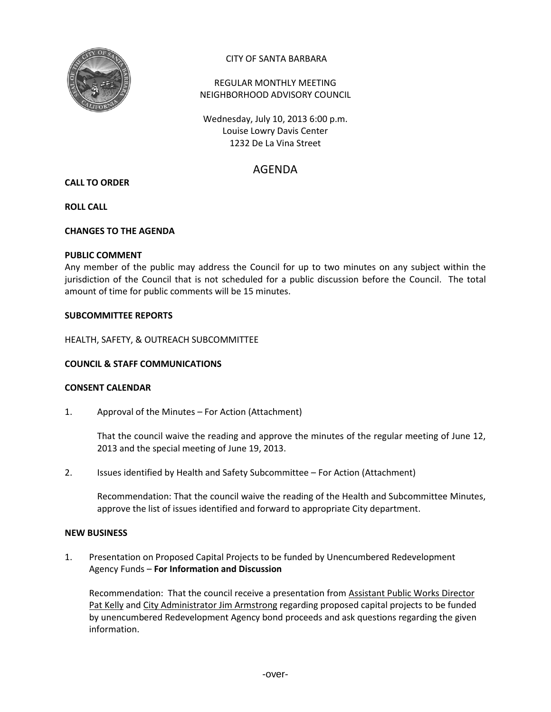

# CITY OF SANTA BARBARA

# REGULAR MONTHLY MEETING NEIGHBORHOOD ADVISORY COUNCIL

Wednesday, July 10, 2013 6:00 p.m. Louise Lowry Davis Center 1232 De La Vina Street

# AGENDA

# **CALL TO ORDER**

## **ROLL CALL**

## **CHANGES TO THE AGENDA**

#### **PUBLIC COMMENT**

Any member of the public may address the Council for up to two minutes on any subject within the jurisdiction of the Council that is not scheduled for a public discussion before the Council. The total amount of time for public comments will be 15 minutes.

## **SUBCOMMITTEE REPORTS**

HEALTH, SAFETY, & OUTREACH SUBCOMMITTEE

# **COUNCIL & STAFF COMMUNICATIONS**

# **CONSENT CALENDAR**

1. Approval of the Minutes – For Action (Attachment)

That the council waive the reading and approve the minutes of the regular meeting of June 12, 2013 and the special meeting of June 19, 2013.

2. Issues identified by Health and Safety Subcommittee – For Action (Attachment)

Recommendation: That the council waive the reading of the Health and Subcommittee Minutes, approve the list of issues identified and forward to appropriate City department.

#### **NEW BUSINESS**

1. Presentation on Proposed Capital Projects to be funded by Unencumbered Redevelopment Agency Funds – **For Information and Discussion**

Recommendation: That the council receive a presentation from Assistant Public Works Director Pat Kelly and City Administrator Jim Armstrong regarding proposed capital projects to be funded by unencumbered Redevelopment Agency bond proceeds and ask questions regarding the given information.